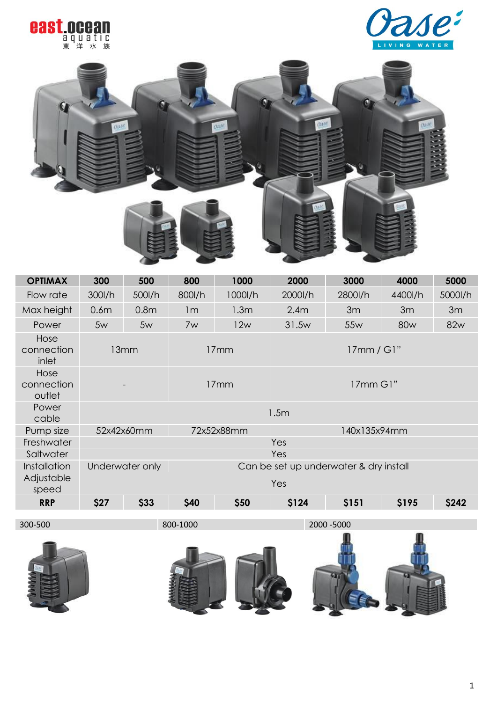





| <b>OPTIMAX</b>               | 300                                                       | 500              | 800                        | 1000             | 2000     | 3000     | 4000            | 5000    |
|------------------------------|-----------------------------------------------------------|------------------|----------------------------|------------------|----------|----------|-----------------|---------|
| Flow rate                    | 300l/h                                                    | 500l/h           | 800l/h                     | 1000l/h          | 2000l/h  | 2800l/h  | 4400l/h         | 5000l/h |
| Max height                   | 0.6 <sub>m</sub>                                          | 0.8 <sub>m</sub> | 1 <sub>m</sub>             | 1.3 <sub>m</sub> | 2.4m     | 3m       | 3m              | 3m      |
| Power                        | 5w                                                        | 5w               | 7w                         | 12w              | 31.5w    | 55w      | 80 <sub>w</sub> | 82w     |
| Hose<br>connection<br>inlet  |                                                           | 13mm             |                            | 17mm             |          | 17mm/G1" |                 |         |
| Hose<br>connection<br>outlet |                                                           |                  | 17mm                       |                  | 17mm G1" |          |                 |         |
| Power<br>cable               | 1.5m                                                      |                  |                            |                  |          |          |                 |         |
| Pump size                    |                                                           | 52x42x60mm       | 72x52x88mm<br>140x135x94mm |                  |          |          |                 |         |
| Freshwater                   |                                                           |                  | Yes                        |                  |          |          |                 |         |
| Saltwater                    |                                                           | Yes              |                            |                  |          |          |                 |         |
| Installation                 | Underwater only<br>Can be set up underwater & dry install |                  |                            |                  |          |          |                 |         |
| Adjustable<br>speed          |                                                           |                  |                            |                  | Yes      |          |                 |         |
| <b>RRP</b>                   | \$27                                                      | \$33             | \$40                       | \$50             | \$124    | \$151    | \$195           | \$242   |
|                              |                                                           |                  |                            |                  |          |          |                 |         |

300-500 800-1000 2000 -5000



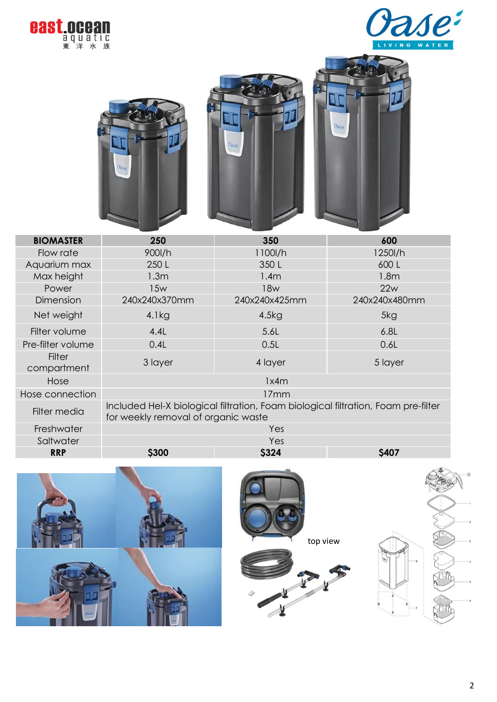









| <b>BIOMASTER</b>             | 250                                                                                                                      | 350           | 600              |  |  |  |
|------------------------------|--------------------------------------------------------------------------------------------------------------------------|---------------|------------------|--|--|--|
| Flow rate                    | 900l/h                                                                                                                   | 1100l/h       | 1250l/h          |  |  |  |
| Aquarium max                 | 250 L                                                                                                                    | 350L          | 600L             |  |  |  |
| Max height                   | 1.3 <sub>m</sub>                                                                                                         | 1.4m          | 1.8 <sub>m</sub> |  |  |  |
| Power                        | 15w                                                                                                                      | 18w           | 22w              |  |  |  |
| Dimension                    | 240x240x370mm                                                                                                            | 240x240x425mm | 240x240x480mm    |  |  |  |
| Net weight                   | 4.1kg                                                                                                                    | 4.5kg         | 5kg              |  |  |  |
| Filter volume                | 4.4L                                                                                                                     | 5.6L          | 6.8L             |  |  |  |
| Pre-filter volume            | 0.4L                                                                                                                     | 0.5L          | 0.6L             |  |  |  |
| <b>Filter</b><br>compartment | 3 layer                                                                                                                  | 4 layer       | 5 layer          |  |  |  |
| Hose                         |                                                                                                                          | 1x4m          |                  |  |  |  |
| Hose connection              | 17mm                                                                                                                     |               |                  |  |  |  |
| Filter media                 | Included Hel-X biological filtration, Foam biological filtration, Foam pre-filter<br>for weekly removal of organic waste |               |                  |  |  |  |
| Freshwater                   |                                                                                                                          | Yes           |                  |  |  |  |
| Saltwater                    |                                                                                                                          | Yes           |                  |  |  |  |
| <b>RRP</b>                   | \$300                                                                                                                    | \$324         | \$407            |  |  |  |





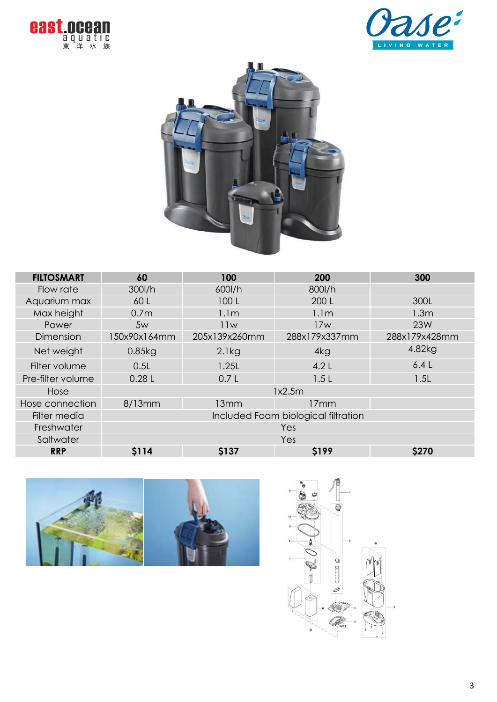





| <b>FILTOSMART</b> | 60                                  | 100              | 200              | 300           |  |
|-------------------|-------------------------------------|------------------|------------------|---------------|--|
| Flow rate         | 300l/h                              | 600l/h           | 800l/h           |               |  |
| Aquarium max      | 60 L                                | 100L             | 200 L            | 300L          |  |
| Max height        | 0.7 <sub>m</sub>                    | 1.1 <sub>m</sub> | 1.1 <sub>m</sub> | 1.3m          |  |
| Power             | 5w                                  | 11w              | 17w              | 23W           |  |
| Dimension         | 150x90x164mm                        | 205x139x260mm    | 288x179x337mm    | 288x179x428mm |  |
| Net weight        | 0.85kg                              | 2.1kg            | 4kg              | 4.82kg        |  |
| Filter volume     | 0.5L                                | 1.25L            | 4.2 $L$          | 6.4L          |  |
| Pre-filter volume | 0.28L                               | 0.7 <sub>L</sub> | 1.5L             | 1.5L          |  |
| Hose              |                                     |                  |                  |               |  |
| Hose connection   | 8/13mm                              | 13mm             | 17mm             |               |  |
| Filter media      | Included Foam biological filtration |                  |                  |               |  |
| Freshwater        | Yes                                 |                  |                  |               |  |
| Saltwater         | Yes                                 |                  |                  |               |  |
| <b>RRP</b>        | <b>S114</b>                         | \$137            | <b>S199</b>      | <b>\$270</b>  |  |



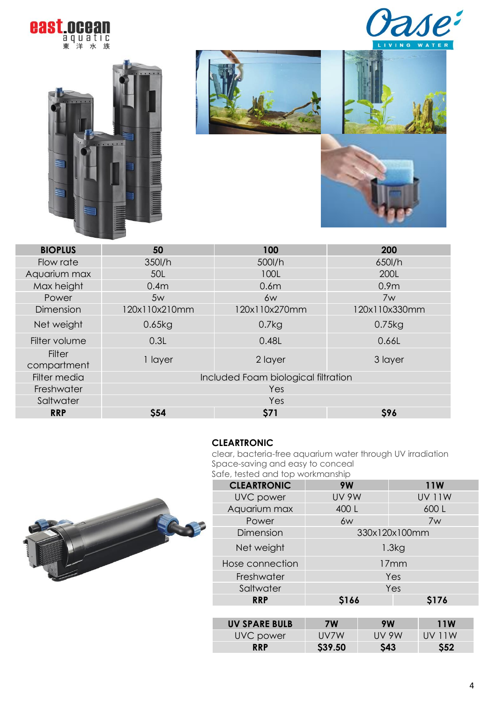







| <b>BIOPLUS</b>               | 50                                  | 100              | 200              |  |  |  |
|------------------------------|-------------------------------------|------------------|------------------|--|--|--|
| Flow rate                    | 350l/h                              | 500l/h           | 650l/h           |  |  |  |
| Aquarium max                 | 50L                                 | 100L             | 200L             |  |  |  |
| Max height                   | 0.4 <sub>m</sub>                    | 0.6 <sub>m</sub> | 0.9 <sub>m</sub> |  |  |  |
| Power                        | 5w                                  | 6w               | 7w               |  |  |  |
| Dimension                    | 120x110x210mm                       | 120x110x270mm    | 120x110x330mm    |  |  |  |
| Net weight                   | 0.65kg                              | 0.7kg            | 0.75kg           |  |  |  |
| Filter volume                | 0.3L                                | 0.48L            | 0.66L            |  |  |  |
| <b>Filter</b><br>compartment | 1 layer                             | 2 layer          | 3 layer          |  |  |  |
| Filter media                 | Included Foam biological filtration |                  |                  |  |  |  |
| Freshwater                   | Yes                                 |                  |                  |  |  |  |
| Saltwater                    | Yes                                 |                  |                  |  |  |  |
| <b>RRP</b>                   | <b>\$54</b>                         | \$71             | \$96             |  |  |  |
|                              |                                     |                  |                  |  |  |  |

### **CLEARTRONIC**

clear, bacteria-free aquarium water through UV irradiation Space-saving and easy to conceal



| Safe, tested and top workmanship |               |       |               |              |  |
|----------------------------------|---------------|-------|---------------|--------------|--|
| <b>CLEARTRONIC</b>               | 9W            |       | <b>11W</b>    |              |  |
| <b>UVC</b> power                 | <b>UV 9W</b>  |       | <b>UV 11W</b> |              |  |
| Aquarium max                     | 400 L         |       | 600L          |              |  |
| Power                            | 6w            |       | 7w            |              |  |
| Dimension                        | 330x120x100mm |       |               |              |  |
| Net weight                       | 1.3kg         |       |               |              |  |
| Hose connection                  | 17mm          |       |               |              |  |
| Freshwater                       | Yes           |       |               |              |  |
| Saltwater                        |               |       | Yes           |              |  |
| <b>RRP</b>                       | \$166         |       |               | \$176        |  |
|                                  |               |       |               |              |  |
| <b>UV SPARE BULB</b>             | <b>7W</b>     | 9W    |               | <b>11W</b>   |  |
| UVC power                        | UV7W          | UV 9W |               | <b>UV11W</b> |  |

**RRP \$39.50 \$43 \$52**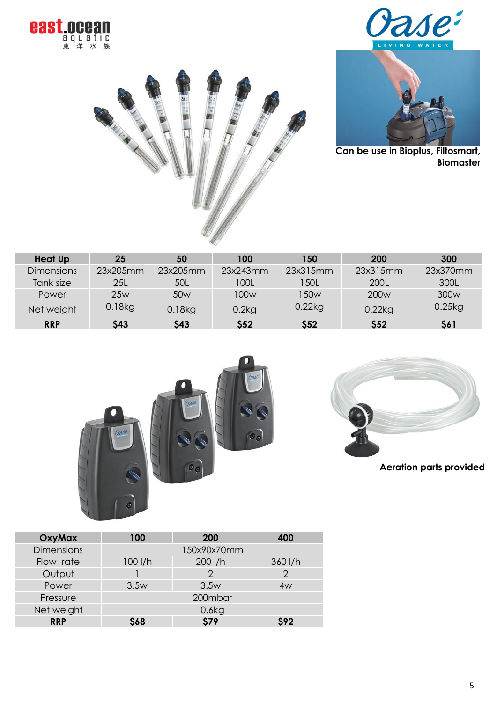







**Can be use in Bioplus, Filtosmart, Biomaster** 

| <b>Heat Up</b>    | 25          | 50              | 100         | 150         | 200              | 300              |
|-------------------|-------------|-----------------|-------------|-------------|------------------|------------------|
| <b>Dimensions</b> | 23x205mm    | 23x205mm        | 23x243mm    | 23x315mm    | 23x315mm         | 23x370mm         |
| Tank size         | 25L         | 50L             | 100L        | <b>50L</b>  | 200L             | 300L             |
| Power             | 25w         | 50 <sub>w</sub> | 100w        | 150w        | 200 <sub>w</sub> | 300 <sub>w</sub> |
| Net weight        | $0.18$ kg   | $0.18$ kg       | 0.2kg       | $0.22$ kg   | $0.22$ kg        | $0.25$ kg        |
| <b>RRP</b>        | <b>\$43</b> | <b>\$43</b>     | <b>\$52</b> | <b>\$52</b> | \$52             | \$61             |





**Aeration parts provided**

| OxyMax            | 100<br><b>200</b> |             | 400     |
|-------------------|-------------------|-------------|---------|
| <b>Dimensions</b> |                   | 150x90x70mm |         |
| Flow rate         | $100$ I/h         | 200 l/h     | 360 l/h |
| Output            |                   | 2           | 2       |
| Power             | 3.5w              | 3.5w        | 4w      |
| Pressure          |                   | 200mbar     |         |
| Net weight        |                   | 0.6kg       |         |
| <b>RRP</b>        | <b>S68</b>        | <b>\$79</b> | \$92    |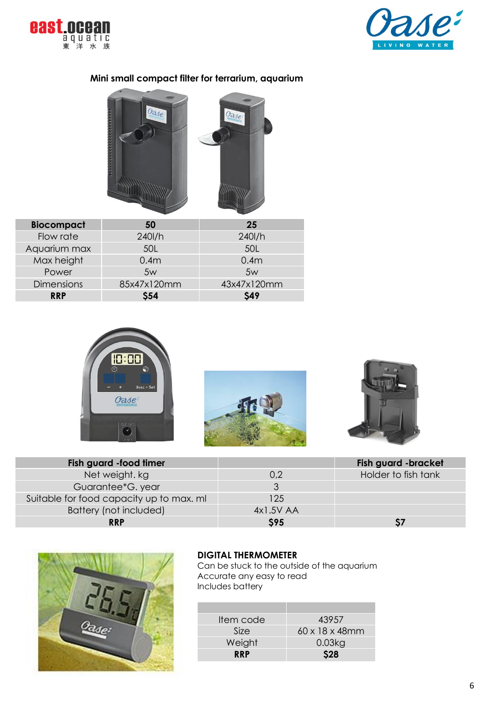



## **Mini small compact filter for terrarium, aquarium**



| <b>Biocompact</b> | 50               | 25               |
|-------------------|------------------|------------------|
| Flow rate         | 240l/h           | $240$ I/h        |
| Aquarium max      | 50L              | 50L              |
| Max height        | 0.4 <sub>m</sub> | 0.4 <sub>m</sub> |
| Power             | 5w               | 5w               |
| <b>Dimensions</b> | 85x47x120mm      | 43x47x120mm      |
| <b>RRP</b>        | <b>S54</b>       | <b>S49</b>       |







| Fish guard -food timer                   |            | Fish guard -bracket |
|------------------------------------------|------------|---------------------|
| Net weight, kg                           | 0.2        | Holder to fish tank |
| Guarantee*G.year                         |            |                     |
| Suitable for food capacity up to max. ml | 125        |                     |
| Battery (not included)                   | 4x1.5V AA  |                     |
| <b>RRP</b>                               | <b>S95</b> |                     |



# **DIGITAL THERMOMETER**

Can be stuck to the outside of the aquarium Accurate any easy to read Includes battery

| Item code  | 43957                       |
|------------|-----------------------------|
| Size       | $60 \times 18 \times 48$ mm |
| Weight     | 0.03kg                      |
| <b>RRP</b> | <b>S28</b>                  |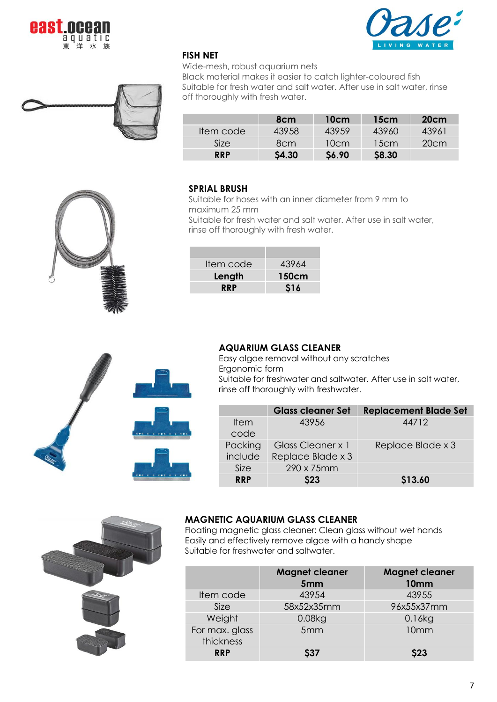





Wide-mesh, robust aquarium nets

Black material makes it easier to catch lighter-coloured fish Suitable for fresh water and salt water. After use in salt water, rinse off thoroughly with fresh water.

|            | 8 <sub>cm</sub> | 10cm  | 15cm         | 20cm  |
|------------|-----------------|-------|--------------|-------|
| Item code  | 43958           | 43959 | 43960        | 43961 |
| Size       | 8cm             | 10cm  | 15cm         | 20cm  |
| <b>RRP</b> | <b>S4.30</b>    | S6.90 | <b>S8.30</b> |       |

#### **SPRIAL BRUSH**

Suitable for hoses with an inner diameter from 9 mm to maximum 25 mm Suitable for fresh water and salt water. After use in salt water,

rinse off thoroughly with fresh water.

| 43964      |
|------------|
| 150cm      |
| <b>S16</b> |
|            |



## **AQUARIUM GLASS CLEANER**

Easy algae removal without any scratches Ergonomic form Suitable for freshwater and saltwater. After use in salt water, rinse off thoroughly with freshwater.

|             | <b>Glass cleaner Set</b> | <b>Replacement Blade Set</b> |
|-------------|--------------------------|------------------------------|
| <b>Item</b> | 43956                    | 44712                        |
| code        |                          |                              |
| Packing     | Glass Cleaner x 1        | Replace Blade x 3            |
| include     | Replace Blade x 3        |                              |
| Size        | 290 x 75mm               |                              |
| <b>RRP</b>  | <b>S23</b>               | \$13.60                      |



#### **MAGNETIC AQUARIUM GLASS CLEANER**

Floating magnetic glass cleaner: Clean glass without wet hands Easily and effectively remove algae with a handy shape Suitable for freshwater and saltwater.

|                             | <b>Magnet cleaner</b><br>5 <sub>mm</sub> | <b>Magnet cleaner</b><br>10 <sub>mm</sub> |
|-----------------------------|------------------------------------------|-------------------------------------------|
| Item code                   | 43954                                    | 43955                                     |
| Size                        | 58x52x35mm                               | 96x55x37mm                                |
| Weight                      | $0.08$ <sub>kg</sub>                     | 0.16kg                                    |
| For max. glass<br>thickness | 5 <sub>mm</sub>                          | 10mm                                      |
| <b>RRP</b>                  | S37                                      | 522                                       |